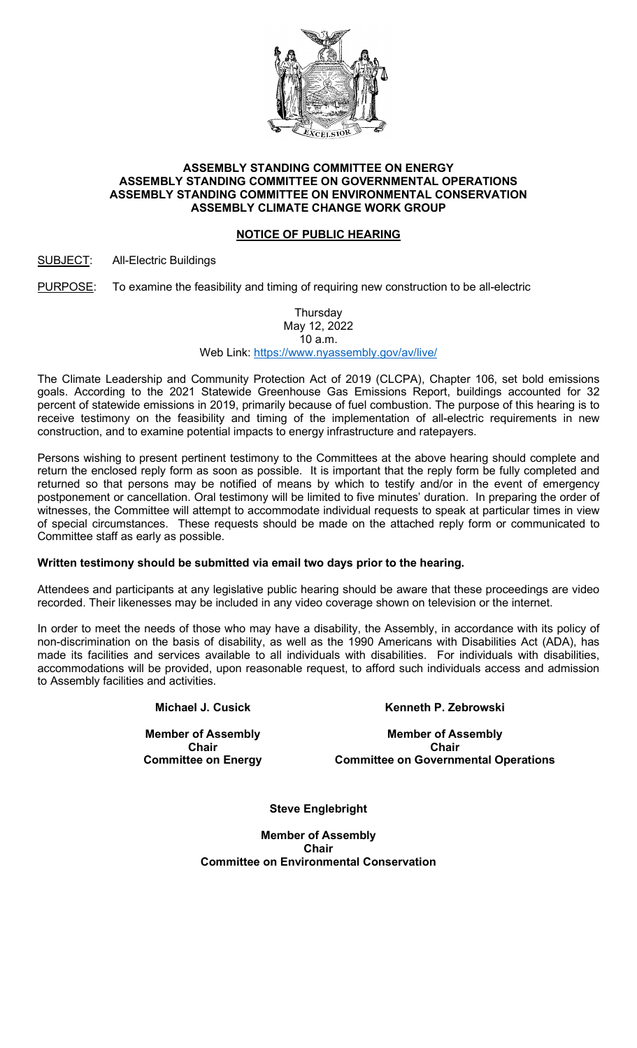

### ASSEMBLY STANDING COMMITTEE ON ENERGY ASSEMBLY STANDING COMMITTEE ON GOVERNMENTAL OPERATIONS ASSEMBLY STANDING COMMITTEE ON ENVIRONMENTAL CONSERVATION ASSEMBLY CLIMATE CHANGE WORK GROUP

# NOTICE OF PUBLIC HEARING

## SUBJECT: All-Electric Buildings

PURPOSE: To examine the feasibility and timing of requiring new construction to be all-electric

Thursday May 12, 2022

10 a.m. Web Link: https://www.nyassembly.gov/av/live/

The Climate Leadership and Community Protection Act of 2019 (CLCPA), Chapter 106, set bold emissions goals. According to the 2021 Statewide Greenhouse Gas Emissions Report, buildings accounted for 32 percent of statewide emissions in 2019, primarily because of fuel combustion. The purpose of this hearing is to receive testimony on the feasibility and timing of the implementation of all-electric requirements in new construction, and to examine potential impacts to energy infrastructure and ratepayers.

Persons wishing to present pertinent testimony to the Committees at the above hearing should complete and return the enclosed reply form as soon as possible. It is important that the reply form be fully completed and returned so that persons may be notified of means by which to testify and/or in the event of emergency postponement or cancellation. Oral testimony will be limited to five minutes' duration. In preparing the order of witnesses, the Committee will attempt to accommodate individual requests to speak at particular times in view of special circumstances. These requests should be made on the attached reply form or communicated to Committee staff as early as possible.

## Written testimony should be submitted via email two days prior to the hearing.

Attendees and participants at any legislative public hearing should be aware that these proceedings are video recorded. Their likenesses may be included in any video coverage shown on television or the internet.

In order to meet the needs of those who may have a disability, the Assembly, in accordance with its policy of non-discrimination on the basis of disability, as well as the 1990 Americans with Disabilities Act (ADA), has made its facilities and services available to all individuals with disabilities. For individuals with disabilities, accommodations will be provided, upon reasonable request, to afford such individuals access and admission to Assembly facilities and activities.

Michael J. Cusick

Member of Assembly Chair Committee on Energy Kenneth P. Zebrowski

Member of Assembly Chair Committee on Governmental Operations

Steve Englebright

Member of Assembly Chair Committee on Environmental Conservation